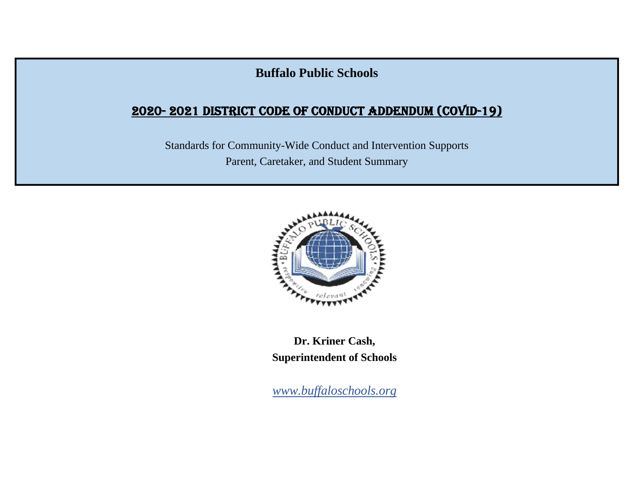# **Buffalo Public Schools**

# 2020- 2021 DISTRICT CODE OF CONDUCT ADDENDUM (COVID-19)

Standards for Community-Wide Conduct and Intervention Supports Parent, Caretaker, and Student Summary



**Dr. Kriner Cash, Superintendent of Schools** 

*www.buffaloschools.org*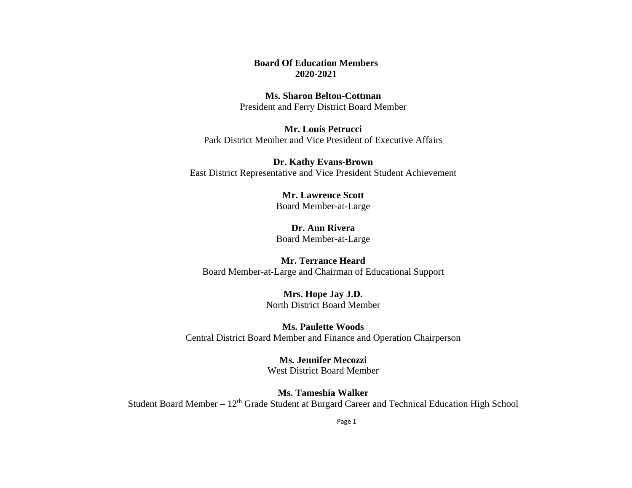#### **Board Of Education Members 2020-2021**

#### **Ms. Sharon Belton-Cottman**President and Ferry District Board Member

## **Mr. Louis Petrucci**Park District Member and Vice President of Executive Affairs

#### **Dr. Kathy Evans-Brown** East District Representative and Vice President Student Achievement

#### **Mr. Lawrence Scott**Board Member-at-Large

# **Dr. Ann Rivera**

Board Member-at-Large

## **Mr. Terrance Heard**

Board Member-at-Large and Chairman of Educational Support

## **Mrs. Hope Jay J.D.** North District Board Member

## **Ms. Paulette Woods**Central District Board Member and Finance and Operation Chairperson

#### **Ms. Jennifer Mecozzi**West District Board Member

## **Ms. Tameshia Walker**

Student Board Member - 12<sup>th</sup> Grade Student at Burgard Career and Technical Education High School

Page 1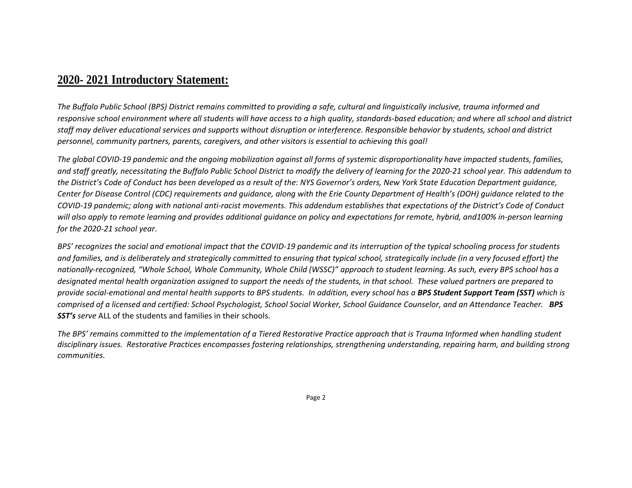## **2020- 2021 Introductory Statement:**

The Buffalo Public School (BPS) District remains committed to providing a safe, cultural and linguistically inclusive, trauma informed and responsive school environment where all students will have access to a high quality, standards-based education; and where all school and district staff may deliver educational services and supports without disruption or interference. Responsible behavior by students, school and district *personnel, community partners, parents, caregivers, and other visitors is essential to achieving this goal!*

The global COVID-19 pandemic and the ongoing mobilization against all forms of systemic disproportionality have impacted students, families, and staff greatly, necessitating the Buffalo Public School District to modify the delivery of learning for the 2020-21 school year. This addendum to the District's Code of Conduct has been developed as a result of the: NYS Governor's orders, New York State Education Department guidance, Center for Disease Control (CDC) requirements and guidance, along with the Erie County Department of Health's (DOH) guidance related to the COVID-19 pandemic; along with national anti-racist movements. This addendum establishes that expectations of the District's Code of Conduct will also apply to remote learning and provides additional guidance on policy and expectations for remote, hybrid, and100% in-person learning *for the 2020‐21 school year*.

BPS' recognizes the social and emotional impact that the COVID-19 pandemic and its interruption of the typical schooling process for students and families, and is deliberately and strategically committed to ensuring that typical school, strategically include (in a very focused effort) the nationally-recognized, "Whole School, Whole Community, Whole Child (WSSC)" approach to student learning. As such, every BPS school has a designated mental health organization assigned to support the needs of the students, in that school. These valued partners are prepared to provide social-emotional and mental health supports to BPS students. In addition, every school has a BPS Student Support Team (SST) which is comprised of a licensed and certified: School Psychologist, School Social Worker, School Guidance Counselor, and an Attendance Teacher. BPS *SST's serve* ALL of the students and families in their schools.

The BPS' remains committed to the implementation of a Tiered Restorative Practice approach that is Trauma Informed when handling student disciplinary issues. Restorative Practices encompasses fostering relationships, strengthening understanding, repairing harm, and building strong *communities.*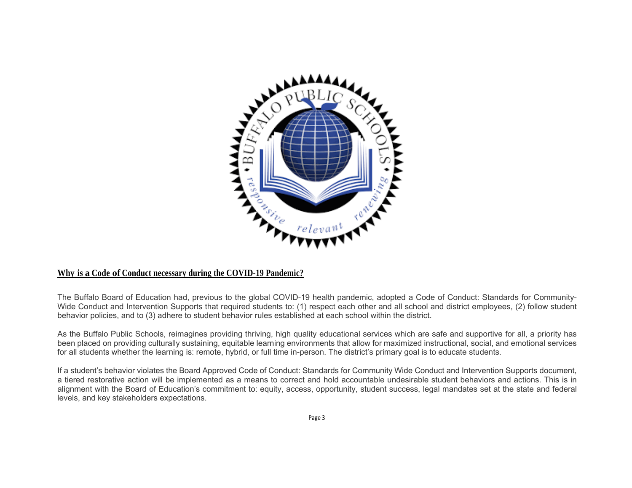

#### **Why is a Code of Conduct necessary during the COVID-19 Pandemic?**

The Buffalo Board of Education had, previous to the global COVID-19 health pandemic, adopted a Code of Conduct: Standards for Community-Wide Conduct and Intervention Supports that required students to: (1) respect each other and all school and district employees, (2) follow student behavior policies, and to (3) adhere to student behavior rules established at each school within the district.

As the Buffalo Public Schools, reimagines providing thriving, high quality educational services which are safe and supportive for all, a priority has been placed on providing culturally sustaining, equitable learning environments that allow for maximized instructional, social, and emotional services for all students whether the learning is: remote, hybrid, or full time in-person. The district's primary goal is to educate students.

If a student's behavior violates the Board Approved Code of Conduct: Standards for Community Wide Conduct and Intervention Supports document, a tiered restorative action will be implemented as a means to correct and hold accountable undesirable student behaviors and actions. This is in alignment with the Board of Education's commitment to: equity, access, opportunity, student success, legal mandates set at the state and federal levels, and key stakeholders expectations.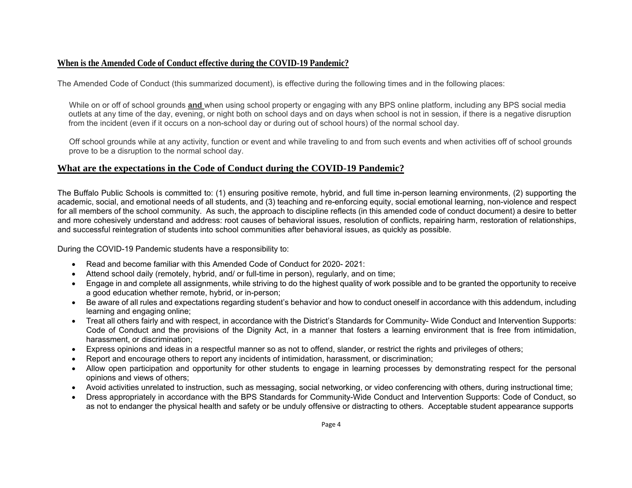#### **When is the Amended Code of Conduct effective during the COVID-19 Pandemic?**

The Amended Code of Conduct (this summarized document), is effective during the following times and in the following places:

 While on or off of school grounds **and** when using school property or engaging with any BPS online platform, including any BPS social media outlets at any time of the day, evening, or night both on school days and on days when school is not in session, if there is a negative disruption from the incident (even if it occurs on a non-school day or during out of school hours) of the normal school day.

 Off school grounds while at any activity, function or event and while traveling to and from such events and when activities off of school grounds prove to be a disruption to the normal school day.

#### **What are the expectations in the Code of Conduct during the COVID-19 Pandemic?**

The Buffalo Public Schools is committed to: (1) ensuring positive remote, hybrid, and full time in-person learning environments, (2) supporting the academic, social, and emotional needs of all students, and (3) teaching and re-enforcing equity, social emotional learning, non-violence and respect for all members of the school community. As such, the approach to discipline reflects (in this amended code of conduct document) a desire to better and more cohesively understand and address: root causes of behavioral issues, resolution of conflicts, repairing harm, restoration of relationships, and successful reintegration of students into school communities after behavioral issues, as quickly as possible.

During the COVID-19 Pandemic students have a responsibility to:

- Read and become familiar with this Amended Code of Conduct for 2020-2021:
- Attend school daily (remotely, hybrid, and/ or full-time in person), regularly, and on time;
- Engage in and complete all assignments, while striving to do the highest quality of work possible and to be granted the opportunity to receive a good education whether remote, hybrid, or in-person;
- Be aware of all rules and expectations regarding student's behavior and how to conduct oneself in accordance with this addendum, including learning and engaging online;
- Treat all others fairly and with respect, in accordance with the District's Standards for Community- Wide Conduct and Intervention Supports: Code of Conduct and the provisions of the Dignity Act, in a manner that fosters a learning environment that is free from intimidation, harassment, or discrimination;
- Express opinions and ideas in a respectful manner so as not to offend, slander, or restrict the rights and privileges of others;
- Report and encourage others to report any incidents of intimidation, harassment, or discrimination;
- Allow open participation and opportunity for other students to engage in learning processes by demonstrating respect for the personal opinions and views of others;
- Avoid activities unrelated to instruction, such as messaging, social networking, or video conferencing with others, during instructional time;
- Dress appropriately in accordance with the BPS Standards for Community-Wide Conduct and Intervention Supports: Code of Conduct, so as not to endanger the physical health and safety or be unduly offensive or distracting to others. Acceptable student appearance supports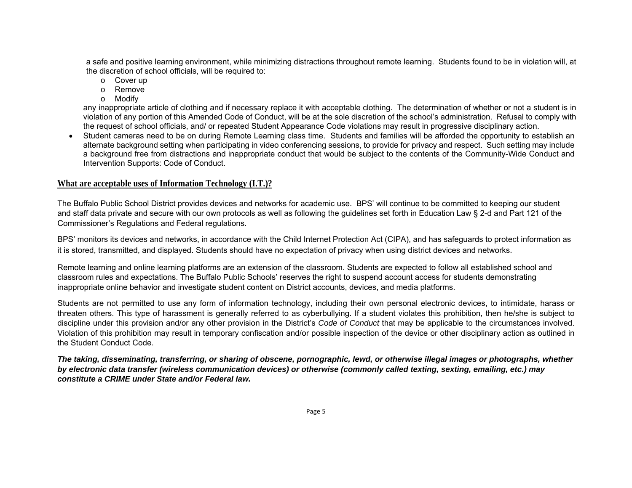a safe and positive learning environment, while minimizing distractions throughout remote learning. Students found to be in violation will, at the discretion of school officials, will be required to:

- <sup>o</sup> Cover up
- o Remove
- <sup>o</sup> Modify

any inappropriate article of clothing and if necessary replace it with acceptable clothing. The determination of whether or not a student is in violation of any portion of this Amended Code of Conduct, will be at the sole discretion of the school's administration. Refusal to comply with the request of school officials, and/ or repeated Student Appearance Code violations may result in progressive disciplinary action.

 Student cameras need to be on during Remote Learning class time. Students and families will be afforded the opportunity to establish an alternate background setting when participating in video conferencing sessions, to provide for privacy and respect. Such setting may include a background free from distractions and inappropriate conduct that would be subject to the contents of the Community-Wide Conduct and Intervention Supports: Code of Conduct.

#### **What are acceptable uses of Information Technology (I.T.)?**

The Buffalo Public School District provides devices and networks for academic use. BPS' will continue to be committed to keeping our student and staff data private and secure with our own protocols as well as following the guidelines set forth in Education Law § 2-d and Part 121 of the Commissioner's Regulations and Federal regulations.

BPS' monitors its devices and networks, in accordance with the Child Internet Protection Act (CIPA), and has safeguards to protect information as it is stored, transmitted, and displayed. Students should have no expectation of privacy when using district devices and networks.

Remote learning and online learning platforms are an extension of the classroom. Students are expected to follow all established school and classroom rules and expectations. The Buffalo Public Schools' reserves the right to suspend account access for students demonstrating inappropriate online behavior and investigate student content on District accounts, devices, and media platforms.

Students are not permitted to use any form of information technology, including their own personal electronic devices, to intimidate, harass or threaten others. This type of harassment is generally referred to as cyberbullying. If a student violates this prohibition, then he/she is subject to discipline under this provision and/or any other provision in the District's *Code of Conduct* that may be applicable to the circumstances involved. Violation of this prohibition may result in temporary confiscation and/or possible inspection of the device or other disciplinary action as outlined in the Student Conduct Code.

*The taking, disseminating, transferring, or sharing of obscene, pornographic, lewd, or otherwise illegal images or photographs, whether by electronic data transfer (wireless communication devices) or otherwise (commonly called texting, sexting, emailing, etc.) may constitute a CRIME under State and/or Federal law.*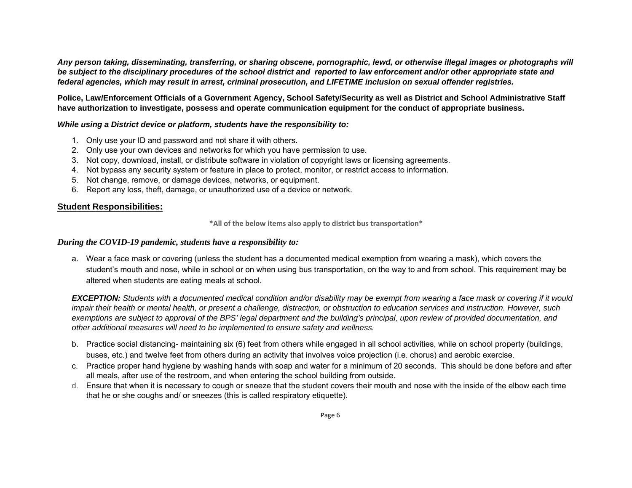*Any person taking, disseminating, transferring, or sharing obscene, pornographic, lewd, or otherwise illegal images or photographs will be subject to the disciplinary procedures of the school district and reported to law enforcement and/or other appropriate state and federal agencies, which may result in arrest, criminal prosecution, and LIFETIME inclusion on sexual offender registries.*

**Police, Law/Enforcement Officials of a Government Agency, School Safety/Security as well as District and School Administrative Staff have authorization to investigate, possess and operate communication equipment for the conduct of appropriate business.** 

#### *While using a District device or platform, students have the responsibility to:*

- 1. Only use your ID and password and not share it with others.
- 2. Only use your own devices and networks for which you have permission to use.
- 3. Not copy, download, install, or distribute software in violation of copyright laws or licensing agreements.
- 4. Not bypass any security system or feature in place to protect, monitor, or restrict access to information.
- 5. Not change, remove, or damage devices, networks, or equipment.
- 6. Report any loss, theft, damage, or unauthorized use of a device or network.

#### **Student Responsibilities:**

**\*All of the below items also apply to district bus transportation\***

#### *During the COVID-19 pandemic, students have a responsibility to:*

a. Wear a face mask or covering (unless the student has a documented medical exemption from wearing a mask), which covers the student's mouth and nose, while in school or on when using bus transportation, on the way to and from school. This requirement may be altered when students are eating meals at school.

*EXCEPTION: Students with a documented medical condition and/or disability may be exempt from wearing a face mask or covering if it would impair their health or mental health, or present a challenge, distraction, or obstruction to education services and instruction. However, such exemptions are subject to approval of the BPS' legal department and the building's principal, upon review of provided documentation, and other additional measures will need to be implemented to ensure safety and wellness.* 

- b. Practice social distancing- maintaining six (6) feet from others while engaged in all school activities, while on school property (buildings, buses, etc.) and twelve feet from others during an activity that involves voice projection (i.e. chorus) and aerobic exercise.
- c. Practice proper hand hygiene by washing hands with soap and water for a minimum of 20 seconds. This should be done before and after all meals, after use of the restroom, and when entering the school building from outside.
- d. Ensure that when it is necessary to cough or sneeze that the student covers their mouth and nose with the inside of the elbow each time that he or she coughs and/ or sneezes (this is called respiratory etiquette).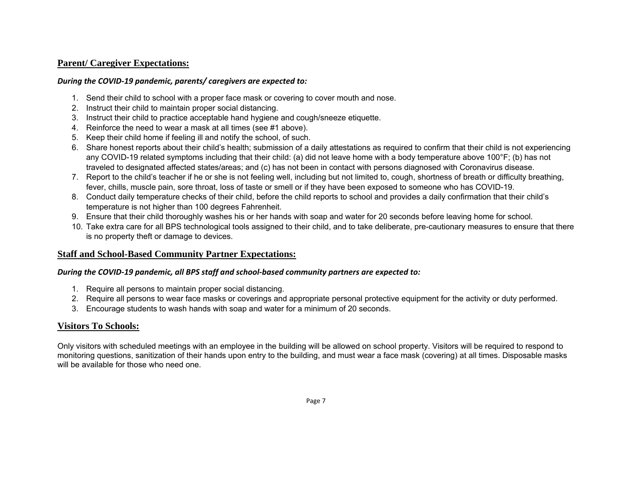#### **Parent/ Caregiver Expectations:**

#### *During the COVID‐19 pandemic, parents/ caregivers are expected to:*

- 1. Send their child to school with a proper face mask or covering to cover mouth and nose.
- 2. Instruct their child to maintain proper social distancing.
- 3. Instruct their child to practice acceptable hand hygiene and cough/sneeze etiquette.
- 4. Reinforce the need to wear a mask at all times (see #1 above).
- 5. Keep their child home if feeling ill and notify the school, of such.
- 6. Share honest reports about their child's health; submission of a daily attestations as required to confirm that their child is not experiencing any COVID-19 related symptoms including that their child: (a) did not leave home with a body temperature above 100°F; (b) has not traveled to designated affected states/areas; and (c) has not been in contact with persons diagnosed with Coronavirus disease.
- 7. Report to the child's teacher if he or she is not feeling well, including but not limited to, cough, shortness of breath or difficulty breathing, fever, chills, muscle pain, sore throat, loss of taste or smell or if they have been exposed to someone who has COVID-19.
- 8. Conduct daily temperature checks of their child, before the child reports to school and provides a daily confirmation that their child's temperature is not higher than 100 degrees Fahrenheit.
- 9. Ensure that their child thoroughly washes his or her hands with soap and water for 20 seconds before leaving home for school.
- 10. Take extra care for all BPS technological tools assigned to their child, and to take deliberate, pre-cautionary measures to ensure that there is no property theft or damage to devices.

## **Staff and School-Based Community Partner Expectations:**

## *During the COVID‐19 pandemic, all BPS staff and school‐based community partners are expected to:*

- 1. Require all persons to maintain proper social distancing.
- 2. Require all persons to wear face masks or coverings and appropriate personal protective equipment for the activity or duty performed.
- 3. Encourage students to wash hands with soap and water for a minimum of 20 seconds.

## **Visitors To Schools:**

Only visitors with scheduled meetings with an employee in the building will be allowed on school property. Visitors will be required to respond to monitoring questions, sanitization of their hands upon entry to the building, and must wear a face mask (covering) at all times. Disposable masks will be available for those who need one.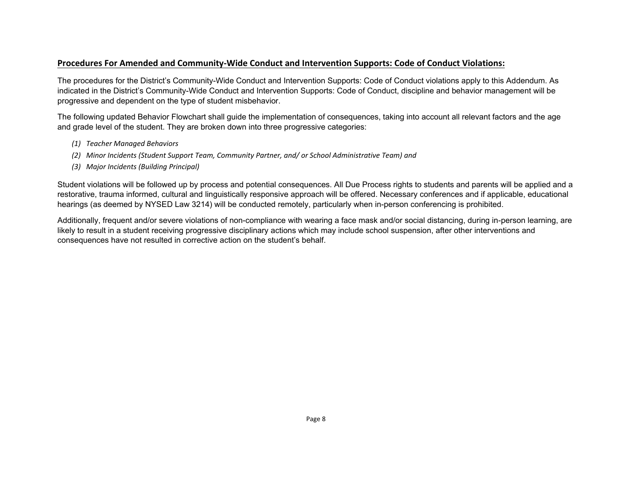#### **Procedures For Amended and Community‐Wide Conduct and Intervention Supports: Code of Conduct Violations:**

The procedures for the District's Community-Wide Conduct and Intervention Supports: Code of Conduct violations apply to this Addendum. As indicated in the District's Community-Wide Conduct and Intervention Supports: Code of Conduct, discipline and behavior management will be progressive and dependent on the type of student misbehavior.

The following updated Behavior Flowchart shall guide the implementation of consequences, taking into account all relevant factors and the age and grade level of the student. They are broken down into three progressive categories:

- *(1) Teacher Managed Behaviors*
- *(2) Minor Incidents (Student Support Team, Community Partner, and/ or School Administrative Team) and*
- *(3) Major Incidents (Building Principal)*

Student violations will be followed up by process and potential consequences. All Due Process rights to students and parents will be applied and a restorative, trauma informed, cultural and linguistically responsive approach will be offered. Necessary conferences and if applicable, educational hearings (as deemed by NYSED Law 3214) will be conducted remotely, particularly when in-person conferencing is prohibited.

Additionally, frequent and/or severe violations of non-compliance with wearing a face mask and/or social distancing, during in-person learning, are likely to result in a student receiving progressive disciplinary actions which may include school suspension, after other interventions and consequences have not resulted in corrective action on the student's behalf.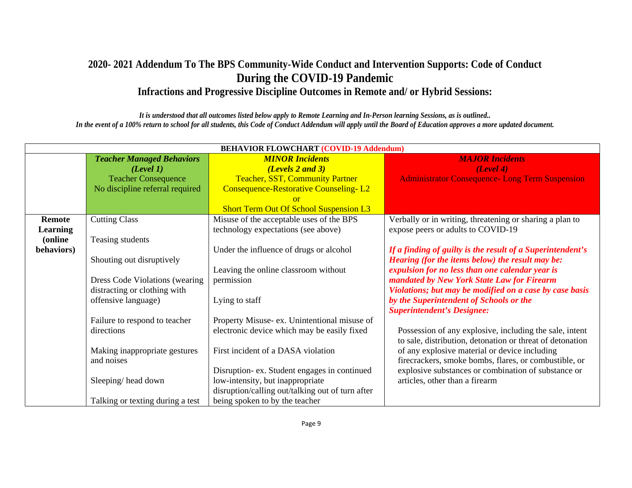## **2020- 2021 Addendum To The BPS Community-Wide Conduct and Intervention Supports: Code of Conduct During the COVID-19 Pandemic Infractions and Progressive Discipline Outcomes in Remote and/ or Hybrid Sessions:**

*It is understood that all outcomes listed below apply to Remote Learning and In-Person learning Sessions, as is outlined.. In the event of a 100% return to school for all students, this Code of Conduct Addendum will apply until the Board of Education approves a more updated document.* 

| <b>BEHAVIOR FLOWCHART (COVID-19 Addendum)</b> |                                  |                                                  |                                                            |  |
|-----------------------------------------------|----------------------------------|--------------------------------------------------|------------------------------------------------------------|--|
|                                               | <b>Teacher Managed Behaviors</b> | <b>MINOR Incidents</b>                           | <b>MAJOR Incidents</b>                                     |  |
|                                               | (Level 1)                        | (Levels 2 and 3)                                 | (Level 4)                                                  |  |
|                                               | <b>Teacher Consequence</b>       | <b>Teacher, SST, Community Partner</b>           | <b>Administrator Consequence- Long Term Suspension</b>     |  |
|                                               | No discipline referral required  | <b>Consequence-Restorative Counseling-L2</b>     |                                                            |  |
|                                               |                                  | $\alpha$ <sup>r</sup>                            |                                                            |  |
|                                               |                                  | <b>Short Term Out Of School Suspension L3</b>    |                                                            |  |
| Remote                                        | <b>Cutting Class</b>             | Misuse of the acceptable uses of the BPS         | Verbally or in writing, threatening or sharing a plan to   |  |
| <b>Learning</b>                               |                                  | technology expectations (see above)              | expose peers or adults to COVID-19                         |  |
| (online)                                      | Teasing students                 |                                                  |                                                            |  |
| behaviors)                                    |                                  | Under the influence of drugs or alcohol          | If a finding of guilty is the result of a Superintendent's |  |
|                                               | Shouting out disruptively        |                                                  | Hearing (for the items below) the result may be:           |  |
|                                               |                                  | Leaving the online classroom without             | expulsion for no less than one calendar year is            |  |
|                                               | Dress Code Violations (wearing   | permission                                       | mandated by New York State Law for Firearm                 |  |
|                                               | distracting or clothing with     |                                                  | Violations; but may be modified on a case by case basis    |  |
|                                               | offensive language)              | Lying to staff                                   | by the Superintendent of Schools or the                    |  |
|                                               |                                  |                                                  | <b>Superintendent's Designee:</b>                          |  |
|                                               | Failure to respond to teacher    | Property Misuse- ex. Unintentional misuse of     |                                                            |  |
|                                               | directions                       | electronic device which may be easily fixed      | Possession of any explosive, including the sale, intent    |  |
|                                               |                                  |                                                  | to sale, distribution, detonation or threat of detonation  |  |
|                                               | Making inappropriate gestures    | First incident of a DASA violation               | of any explosive material or device including              |  |
|                                               | and noises                       |                                                  | firecrackers, smoke bombs, flares, or combustible, or      |  |
|                                               |                                  | Disruption-ex. Student engages in continued      | explosive substances or combination of substance or        |  |
|                                               | Sleeping/head down               | low-intensity, but inappropriate                 | articles, other than a firearm                             |  |
|                                               |                                  | disruption/calling out/talking out of turn after |                                                            |  |
|                                               | Talking or texting during a test | being spoken to by the teacher                   |                                                            |  |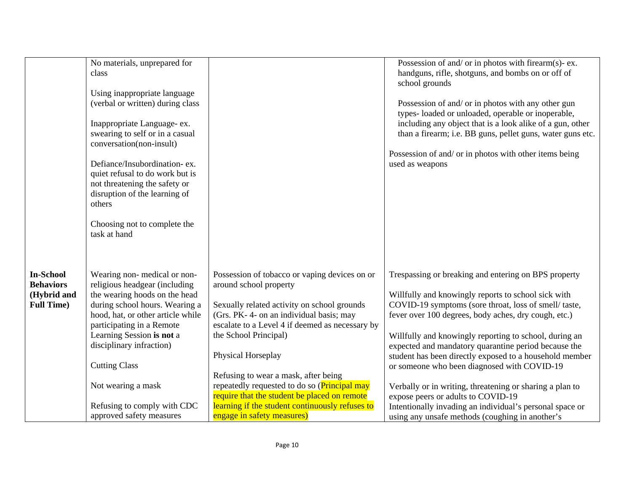|                                                                          | No materials, unprepared for<br>class<br>Using inappropriate language<br>(verbal or written) during class<br>Inappropriate Language- ex.<br>swearing to self or in a casual<br>conversation(non-insult)<br>Defiance/Insubordination-ex.<br>quiet refusal to do work but is<br>not threatening the safety or<br>disruption of the learning of<br>others<br>Choosing not to complete the<br>task at hand |                                                                                                                                                                                                                                                                                                                                                                                                                                                                                                      | Possession of and/ or in photos with firearm(s)- ex.<br>handguns, rifle, shotguns, and bombs on or off of<br>school grounds<br>Possession of and/ or in photos with any other gun<br>types-loaded or unloaded, operable or inoperable,<br>including any object that is a look alike of a gun, other<br>than a firearm; i.e. BB guns, pellet guns, water guns etc.<br>Possession of and/ or in photos with other items being<br>used as weapons                                                                                                                                                                                                                           |
|--------------------------------------------------------------------------|--------------------------------------------------------------------------------------------------------------------------------------------------------------------------------------------------------------------------------------------------------------------------------------------------------------------------------------------------------------------------------------------------------|------------------------------------------------------------------------------------------------------------------------------------------------------------------------------------------------------------------------------------------------------------------------------------------------------------------------------------------------------------------------------------------------------------------------------------------------------------------------------------------------------|--------------------------------------------------------------------------------------------------------------------------------------------------------------------------------------------------------------------------------------------------------------------------------------------------------------------------------------------------------------------------------------------------------------------------------------------------------------------------------------------------------------------------------------------------------------------------------------------------------------------------------------------------------------------------|
| <b>In-School</b><br><b>Behaviors</b><br>(Hybrid and<br><b>Full Time)</b> | Wearing non-medical or non-<br>religious headgear (including<br>the wearing hoods on the head<br>during school hours. Wearing a<br>hood, hat, or other article while<br>participating in a Remote<br>Learning Session is not a<br>disciplinary infraction)<br><b>Cutting Class</b><br>Not wearing a mask<br>Refusing to comply with CDC<br>approved safety measures                                    | Possession of tobacco or vaping devices on or<br>around school property<br>Sexually related activity on school grounds<br>(Grs. PK-4- on an individual basis; may<br>escalate to a Level 4 if deemed as necessary by<br>the School Principal)<br>Physical Horseplay<br>Refusing to wear a mask, after being<br>repeatedly requested to do so ( <b>Principal may</b><br>require that the student be placed on remote<br>learning if the student continuously refuses to<br>engage in safety measures) | Trespassing or breaking and entering on BPS property<br>Willfully and knowingly reports to school sick with<br>COVID-19 symptoms (sore throat, loss of smell/taste,<br>fever over 100 degrees, body aches, dry cough, etc.)<br>Willfully and knowingly reporting to school, during an<br>expected and mandatory quarantine period because the<br>student has been directly exposed to a household member<br>or someone who been diagnosed with COVID-19<br>Verbally or in writing, threatening or sharing a plan to<br>expose peers or adults to COVID-19<br>Intentionally invading an individual's personal space or<br>using any unsafe methods (coughing in another's |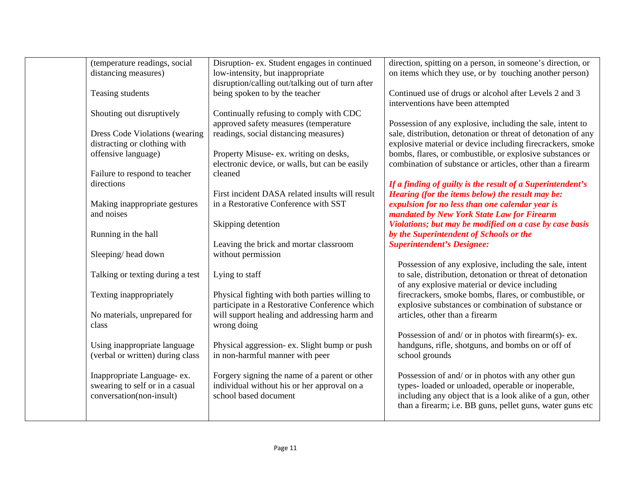| (temperature readings, social<br>direction, spitting on a person, in someone's direction, or<br>Disruption- ex. Student engages in continued<br>on items which they use, or by touching another person)<br>distancing measures)<br>low-intensity, but inappropriate<br>disruption/calling out/talking out of turn after<br>being spoken to by the teacher<br>Continued use of drugs or alcohol after Levels 2 and 3<br>Teasing students<br>interventions have been attempted<br>Shouting out disruptively<br>Continually refusing to comply with CDC<br>approved safety measures (temperature<br>Possession of any explosive, including the sale, intent to<br>sale, distribution, detonation or threat of detonation of any<br>readings, social distancing measures)<br>Dress Code Violations (wearing<br>distracting or clothing with<br>explosive material or device including firecrackers, smoke<br>offensive language)<br>Property Misuse- ex. writing on desks,<br>bombs, flares, or combustible, or explosive substances or<br>combination of substance or articles, other than a firearm<br>electronic device, or walls, but can be easily<br>Failure to respond to teacher<br>cleaned<br>directions<br>If a finding of guilty is the result of a Superintendent's<br>First incident DASA related insults will result<br>Hearing (for the items below) the result may be:<br>in a Restorative Conference with SST<br>expulsion for no less than one calendar year is<br>Making inappropriate gestures<br>mandated by New York State Law for Firearm<br>and noises<br>Skipping detention<br>Violations; but may be modified on a case by case basis<br>Running in the hall<br>by the Superintendent of Schools or the<br>Leaving the brick and mortar classroom<br><b>Superintendent's Designee:</b><br>without permission<br>Sleeping/head down<br>Possession of any explosive, including the sale, intent<br>to sale, distribution, detonation or threat of detonation<br>Talking or texting during a test<br>Lying to staff<br>of any explosive material or device including<br>firecrackers, smoke bombs, flares, or combustible, or<br>Texting inappropriately<br>Physical fighting with both parties willing to<br>participate in a Restorative Conference which<br>explosive substances or combination of substance or<br>will support healing and addressing harm and<br>No materials, unprepared for<br>articles, other than a firearm<br>wrong doing<br>class<br>Possession of and/ or in photos with firearm(s)- ex.<br>handguns, rifle, shotguns, and bombs on or off of<br>Using inappropriate language<br>Physical aggression- ex. Slight bump or push<br>(verbal or written) during class<br>in non-harmful manner with peer<br>school grounds<br>Inappropriate Language- ex.<br>Forgery signing the name of a parent or other<br>Possession of and/ or in photos with any other gun<br>swearing to self or in a casual<br>individual without his or her approval on a<br>types-loaded or unloaded, operable or inoperable,<br>school based document<br>including any object that is a look alike of a gun, other<br>conversation(non-insult)<br>than a firearm; i.e. BB guns, pellet guns, water guns etc |  |  |
|-----------------------------------------------------------------------------------------------------------------------------------------------------------------------------------------------------------------------------------------------------------------------------------------------------------------------------------------------------------------------------------------------------------------------------------------------------------------------------------------------------------------------------------------------------------------------------------------------------------------------------------------------------------------------------------------------------------------------------------------------------------------------------------------------------------------------------------------------------------------------------------------------------------------------------------------------------------------------------------------------------------------------------------------------------------------------------------------------------------------------------------------------------------------------------------------------------------------------------------------------------------------------------------------------------------------------------------------------------------------------------------------------------------------------------------------------------------------------------------------------------------------------------------------------------------------------------------------------------------------------------------------------------------------------------------------------------------------------------------------------------------------------------------------------------------------------------------------------------------------------------------------------------------------------------------------------------------------------------------------------------------------------------------------------------------------------------------------------------------------------------------------------------------------------------------------------------------------------------------------------------------------------------------------------------------------------------------------------------------------------------------------------------------------------------------------------------------------------------------------------------------------------------------------------------------------------------------------------------------------------------------------------------------------------------------------------------------------------------------------------------------------------------------------------------------------------------------------------------------------------------------------------------------------------------------------------------------------------------------------------------------------------------------------------------------------------------------------------------------------------------------------------------------------------------------------------------------------------------------|--|--|
|                                                                                                                                                                                                                                                                                                                                                                                                                                                                                                                                                                                                                                                                                                                                                                                                                                                                                                                                                                                                                                                                                                                                                                                                                                                                                                                                                                                                                                                                                                                                                                                                                                                                                                                                                                                                                                                                                                                                                                                                                                                                                                                                                                                                                                                                                                                                                                                                                                                                                                                                                                                                                                                                                                                                                                                                                                                                                                                                                                                                                                                                                                                                                                                                                                   |  |  |
|                                                                                                                                                                                                                                                                                                                                                                                                                                                                                                                                                                                                                                                                                                                                                                                                                                                                                                                                                                                                                                                                                                                                                                                                                                                                                                                                                                                                                                                                                                                                                                                                                                                                                                                                                                                                                                                                                                                                                                                                                                                                                                                                                                                                                                                                                                                                                                                                                                                                                                                                                                                                                                                                                                                                                                                                                                                                                                                                                                                                                                                                                                                                                                                                                                   |  |  |
|                                                                                                                                                                                                                                                                                                                                                                                                                                                                                                                                                                                                                                                                                                                                                                                                                                                                                                                                                                                                                                                                                                                                                                                                                                                                                                                                                                                                                                                                                                                                                                                                                                                                                                                                                                                                                                                                                                                                                                                                                                                                                                                                                                                                                                                                                                                                                                                                                                                                                                                                                                                                                                                                                                                                                                                                                                                                                                                                                                                                                                                                                                                                                                                                                                   |  |  |
|                                                                                                                                                                                                                                                                                                                                                                                                                                                                                                                                                                                                                                                                                                                                                                                                                                                                                                                                                                                                                                                                                                                                                                                                                                                                                                                                                                                                                                                                                                                                                                                                                                                                                                                                                                                                                                                                                                                                                                                                                                                                                                                                                                                                                                                                                                                                                                                                                                                                                                                                                                                                                                                                                                                                                                                                                                                                                                                                                                                                                                                                                                                                                                                                                                   |  |  |
|                                                                                                                                                                                                                                                                                                                                                                                                                                                                                                                                                                                                                                                                                                                                                                                                                                                                                                                                                                                                                                                                                                                                                                                                                                                                                                                                                                                                                                                                                                                                                                                                                                                                                                                                                                                                                                                                                                                                                                                                                                                                                                                                                                                                                                                                                                                                                                                                                                                                                                                                                                                                                                                                                                                                                                                                                                                                                                                                                                                                                                                                                                                                                                                                                                   |  |  |
|                                                                                                                                                                                                                                                                                                                                                                                                                                                                                                                                                                                                                                                                                                                                                                                                                                                                                                                                                                                                                                                                                                                                                                                                                                                                                                                                                                                                                                                                                                                                                                                                                                                                                                                                                                                                                                                                                                                                                                                                                                                                                                                                                                                                                                                                                                                                                                                                                                                                                                                                                                                                                                                                                                                                                                                                                                                                                                                                                                                                                                                                                                                                                                                                                                   |  |  |
|                                                                                                                                                                                                                                                                                                                                                                                                                                                                                                                                                                                                                                                                                                                                                                                                                                                                                                                                                                                                                                                                                                                                                                                                                                                                                                                                                                                                                                                                                                                                                                                                                                                                                                                                                                                                                                                                                                                                                                                                                                                                                                                                                                                                                                                                                                                                                                                                                                                                                                                                                                                                                                                                                                                                                                                                                                                                                                                                                                                                                                                                                                                                                                                                                                   |  |  |
|                                                                                                                                                                                                                                                                                                                                                                                                                                                                                                                                                                                                                                                                                                                                                                                                                                                                                                                                                                                                                                                                                                                                                                                                                                                                                                                                                                                                                                                                                                                                                                                                                                                                                                                                                                                                                                                                                                                                                                                                                                                                                                                                                                                                                                                                                                                                                                                                                                                                                                                                                                                                                                                                                                                                                                                                                                                                                                                                                                                                                                                                                                                                                                                                                                   |  |  |
|                                                                                                                                                                                                                                                                                                                                                                                                                                                                                                                                                                                                                                                                                                                                                                                                                                                                                                                                                                                                                                                                                                                                                                                                                                                                                                                                                                                                                                                                                                                                                                                                                                                                                                                                                                                                                                                                                                                                                                                                                                                                                                                                                                                                                                                                                                                                                                                                                                                                                                                                                                                                                                                                                                                                                                                                                                                                                                                                                                                                                                                                                                                                                                                                                                   |  |  |
|                                                                                                                                                                                                                                                                                                                                                                                                                                                                                                                                                                                                                                                                                                                                                                                                                                                                                                                                                                                                                                                                                                                                                                                                                                                                                                                                                                                                                                                                                                                                                                                                                                                                                                                                                                                                                                                                                                                                                                                                                                                                                                                                                                                                                                                                                                                                                                                                                                                                                                                                                                                                                                                                                                                                                                                                                                                                                                                                                                                                                                                                                                                                                                                                                                   |  |  |
|                                                                                                                                                                                                                                                                                                                                                                                                                                                                                                                                                                                                                                                                                                                                                                                                                                                                                                                                                                                                                                                                                                                                                                                                                                                                                                                                                                                                                                                                                                                                                                                                                                                                                                                                                                                                                                                                                                                                                                                                                                                                                                                                                                                                                                                                                                                                                                                                                                                                                                                                                                                                                                                                                                                                                                                                                                                                                                                                                                                                                                                                                                                                                                                                                                   |  |  |
|                                                                                                                                                                                                                                                                                                                                                                                                                                                                                                                                                                                                                                                                                                                                                                                                                                                                                                                                                                                                                                                                                                                                                                                                                                                                                                                                                                                                                                                                                                                                                                                                                                                                                                                                                                                                                                                                                                                                                                                                                                                                                                                                                                                                                                                                                                                                                                                                                                                                                                                                                                                                                                                                                                                                                                                                                                                                                                                                                                                                                                                                                                                                                                                                                                   |  |  |
|                                                                                                                                                                                                                                                                                                                                                                                                                                                                                                                                                                                                                                                                                                                                                                                                                                                                                                                                                                                                                                                                                                                                                                                                                                                                                                                                                                                                                                                                                                                                                                                                                                                                                                                                                                                                                                                                                                                                                                                                                                                                                                                                                                                                                                                                                                                                                                                                                                                                                                                                                                                                                                                                                                                                                                                                                                                                                                                                                                                                                                                                                                                                                                                                                                   |  |  |
|                                                                                                                                                                                                                                                                                                                                                                                                                                                                                                                                                                                                                                                                                                                                                                                                                                                                                                                                                                                                                                                                                                                                                                                                                                                                                                                                                                                                                                                                                                                                                                                                                                                                                                                                                                                                                                                                                                                                                                                                                                                                                                                                                                                                                                                                                                                                                                                                                                                                                                                                                                                                                                                                                                                                                                                                                                                                                                                                                                                                                                                                                                                                                                                                                                   |  |  |
|                                                                                                                                                                                                                                                                                                                                                                                                                                                                                                                                                                                                                                                                                                                                                                                                                                                                                                                                                                                                                                                                                                                                                                                                                                                                                                                                                                                                                                                                                                                                                                                                                                                                                                                                                                                                                                                                                                                                                                                                                                                                                                                                                                                                                                                                                                                                                                                                                                                                                                                                                                                                                                                                                                                                                                                                                                                                                                                                                                                                                                                                                                                                                                                                                                   |  |  |
|                                                                                                                                                                                                                                                                                                                                                                                                                                                                                                                                                                                                                                                                                                                                                                                                                                                                                                                                                                                                                                                                                                                                                                                                                                                                                                                                                                                                                                                                                                                                                                                                                                                                                                                                                                                                                                                                                                                                                                                                                                                                                                                                                                                                                                                                                                                                                                                                                                                                                                                                                                                                                                                                                                                                                                                                                                                                                                                                                                                                                                                                                                                                                                                                                                   |  |  |
|                                                                                                                                                                                                                                                                                                                                                                                                                                                                                                                                                                                                                                                                                                                                                                                                                                                                                                                                                                                                                                                                                                                                                                                                                                                                                                                                                                                                                                                                                                                                                                                                                                                                                                                                                                                                                                                                                                                                                                                                                                                                                                                                                                                                                                                                                                                                                                                                                                                                                                                                                                                                                                                                                                                                                                                                                                                                                                                                                                                                                                                                                                                                                                                                                                   |  |  |
|                                                                                                                                                                                                                                                                                                                                                                                                                                                                                                                                                                                                                                                                                                                                                                                                                                                                                                                                                                                                                                                                                                                                                                                                                                                                                                                                                                                                                                                                                                                                                                                                                                                                                                                                                                                                                                                                                                                                                                                                                                                                                                                                                                                                                                                                                                                                                                                                                                                                                                                                                                                                                                                                                                                                                                                                                                                                                                                                                                                                                                                                                                                                                                                                                                   |  |  |
|                                                                                                                                                                                                                                                                                                                                                                                                                                                                                                                                                                                                                                                                                                                                                                                                                                                                                                                                                                                                                                                                                                                                                                                                                                                                                                                                                                                                                                                                                                                                                                                                                                                                                                                                                                                                                                                                                                                                                                                                                                                                                                                                                                                                                                                                                                                                                                                                                                                                                                                                                                                                                                                                                                                                                                                                                                                                                                                                                                                                                                                                                                                                                                                                                                   |  |  |
|                                                                                                                                                                                                                                                                                                                                                                                                                                                                                                                                                                                                                                                                                                                                                                                                                                                                                                                                                                                                                                                                                                                                                                                                                                                                                                                                                                                                                                                                                                                                                                                                                                                                                                                                                                                                                                                                                                                                                                                                                                                                                                                                                                                                                                                                                                                                                                                                                                                                                                                                                                                                                                                                                                                                                                                                                                                                                                                                                                                                                                                                                                                                                                                                                                   |  |  |
|                                                                                                                                                                                                                                                                                                                                                                                                                                                                                                                                                                                                                                                                                                                                                                                                                                                                                                                                                                                                                                                                                                                                                                                                                                                                                                                                                                                                                                                                                                                                                                                                                                                                                                                                                                                                                                                                                                                                                                                                                                                                                                                                                                                                                                                                                                                                                                                                                                                                                                                                                                                                                                                                                                                                                                                                                                                                                                                                                                                                                                                                                                                                                                                                                                   |  |  |
|                                                                                                                                                                                                                                                                                                                                                                                                                                                                                                                                                                                                                                                                                                                                                                                                                                                                                                                                                                                                                                                                                                                                                                                                                                                                                                                                                                                                                                                                                                                                                                                                                                                                                                                                                                                                                                                                                                                                                                                                                                                                                                                                                                                                                                                                                                                                                                                                                                                                                                                                                                                                                                                                                                                                                                                                                                                                                                                                                                                                                                                                                                                                                                                                                                   |  |  |
|                                                                                                                                                                                                                                                                                                                                                                                                                                                                                                                                                                                                                                                                                                                                                                                                                                                                                                                                                                                                                                                                                                                                                                                                                                                                                                                                                                                                                                                                                                                                                                                                                                                                                                                                                                                                                                                                                                                                                                                                                                                                                                                                                                                                                                                                                                                                                                                                                                                                                                                                                                                                                                                                                                                                                                                                                                                                                                                                                                                                                                                                                                                                                                                                                                   |  |  |
|                                                                                                                                                                                                                                                                                                                                                                                                                                                                                                                                                                                                                                                                                                                                                                                                                                                                                                                                                                                                                                                                                                                                                                                                                                                                                                                                                                                                                                                                                                                                                                                                                                                                                                                                                                                                                                                                                                                                                                                                                                                                                                                                                                                                                                                                                                                                                                                                                                                                                                                                                                                                                                                                                                                                                                                                                                                                                                                                                                                                                                                                                                                                                                                                                                   |  |  |
|                                                                                                                                                                                                                                                                                                                                                                                                                                                                                                                                                                                                                                                                                                                                                                                                                                                                                                                                                                                                                                                                                                                                                                                                                                                                                                                                                                                                                                                                                                                                                                                                                                                                                                                                                                                                                                                                                                                                                                                                                                                                                                                                                                                                                                                                                                                                                                                                                                                                                                                                                                                                                                                                                                                                                                                                                                                                                                                                                                                                                                                                                                                                                                                                                                   |  |  |
|                                                                                                                                                                                                                                                                                                                                                                                                                                                                                                                                                                                                                                                                                                                                                                                                                                                                                                                                                                                                                                                                                                                                                                                                                                                                                                                                                                                                                                                                                                                                                                                                                                                                                                                                                                                                                                                                                                                                                                                                                                                                                                                                                                                                                                                                                                                                                                                                                                                                                                                                                                                                                                                                                                                                                                                                                                                                                                                                                                                                                                                                                                                                                                                                                                   |  |  |
|                                                                                                                                                                                                                                                                                                                                                                                                                                                                                                                                                                                                                                                                                                                                                                                                                                                                                                                                                                                                                                                                                                                                                                                                                                                                                                                                                                                                                                                                                                                                                                                                                                                                                                                                                                                                                                                                                                                                                                                                                                                                                                                                                                                                                                                                                                                                                                                                                                                                                                                                                                                                                                                                                                                                                                                                                                                                                                                                                                                                                                                                                                                                                                                                                                   |  |  |
|                                                                                                                                                                                                                                                                                                                                                                                                                                                                                                                                                                                                                                                                                                                                                                                                                                                                                                                                                                                                                                                                                                                                                                                                                                                                                                                                                                                                                                                                                                                                                                                                                                                                                                                                                                                                                                                                                                                                                                                                                                                                                                                                                                                                                                                                                                                                                                                                                                                                                                                                                                                                                                                                                                                                                                                                                                                                                                                                                                                                                                                                                                                                                                                                                                   |  |  |
|                                                                                                                                                                                                                                                                                                                                                                                                                                                                                                                                                                                                                                                                                                                                                                                                                                                                                                                                                                                                                                                                                                                                                                                                                                                                                                                                                                                                                                                                                                                                                                                                                                                                                                                                                                                                                                                                                                                                                                                                                                                                                                                                                                                                                                                                                                                                                                                                                                                                                                                                                                                                                                                                                                                                                                                                                                                                                                                                                                                                                                                                                                                                                                                                                                   |  |  |
|                                                                                                                                                                                                                                                                                                                                                                                                                                                                                                                                                                                                                                                                                                                                                                                                                                                                                                                                                                                                                                                                                                                                                                                                                                                                                                                                                                                                                                                                                                                                                                                                                                                                                                                                                                                                                                                                                                                                                                                                                                                                                                                                                                                                                                                                                                                                                                                                                                                                                                                                                                                                                                                                                                                                                                                                                                                                                                                                                                                                                                                                                                                                                                                                                                   |  |  |
|                                                                                                                                                                                                                                                                                                                                                                                                                                                                                                                                                                                                                                                                                                                                                                                                                                                                                                                                                                                                                                                                                                                                                                                                                                                                                                                                                                                                                                                                                                                                                                                                                                                                                                                                                                                                                                                                                                                                                                                                                                                                                                                                                                                                                                                                                                                                                                                                                                                                                                                                                                                                                                                                                                                                                                                                                                                                                                                                                                                                                                                                                                                                                                                                                                   |  |  |
|                                                                                                                                                                                                                                                                                                                                                                                                                                                                                                                                                                                                                                                                                                                                                                                                                                                                                                                                                                                                                                                                                                                                                                                                                                                                                                                                                                                                                                                                                                                                                                                                                                                                                                                                                                                                                                                                                                                                                                                                                                                                                                                                                                                                                                                                                                                                                                                                                                                                                                                                                                                                                                                                                                                                                                                                                                                                                                                                                                                                                                                                                                                                                                                                                                   |  |  |
|                                                                                                                                                                                                                                                                                                                                                                                                                                                                                                                                                                                                                                                                                                                                                                                                                                                                                                                                                                                                                                                                                                                                                                                                                                                                                                                                                                                                                                                                                                                                                                                                                                                                                                                                                                                                                                                                                                                                                                                                                                                                                                                                                                                                                                                                                                                                                                                                                                                                                                                                                                                                                                                                                                                                                                                                                                                                                                                                                                                                                                                                                                                                                                                                                                   |  |  |
|                                                                                                                                                                                                                                                                                                                                                                                                                                                                                                                                                                                                                                                                                                                                                                                                                                                                                                                                                                                                                                                                                                                                                                                                                                                                                                                                                                                                                                                                                                                                                                                                                                                                                                                                                                                                                                                                                                                                                                                                                                                                                                                                                                                                                                                                                                                                                                                                                                                                                                                                                                                                                                                                                                                                                                                                                                                                                                                                                                                                                                                                                                                                                                                                                                   |  |  |
|                                                                                                                                                                                                                                                                                                                                                                                                                                                                                                                                                                                                                                                                                                                                                                                                                                                                                                                                                                                                                                                                                                                                                                                                                                                                                                                                                                                                                                                                                                                                                                                                                                                                                                                                                                                                                                                                                                                                                                                                                                                                                                                                                                                                                                                                                                                                                                                                                                                                                                                                                                                                                                                                                                                                                                                                                                                                                                                                                                                                                                                                                                                                                                                                                                   |  |  |
|                                                                                                                                                                                                                                                                                                                                                                                                                                                                                                                                                                                                                                                                                                                                                                                                                                                                                                                                                                                                                                                                                                                                                                                                                                                                                                                                                                                                                                                                                                                                                                                                                                                                                                                                                                                                                                                                                                                                                                                                                                                                                                                                                                                                                                                                                                                                                                                                                                                                                                                                                                                                                                                                                                                                                                                                                                                                                                                                                                                                                                                                                                                                                                                                                                   |  |  |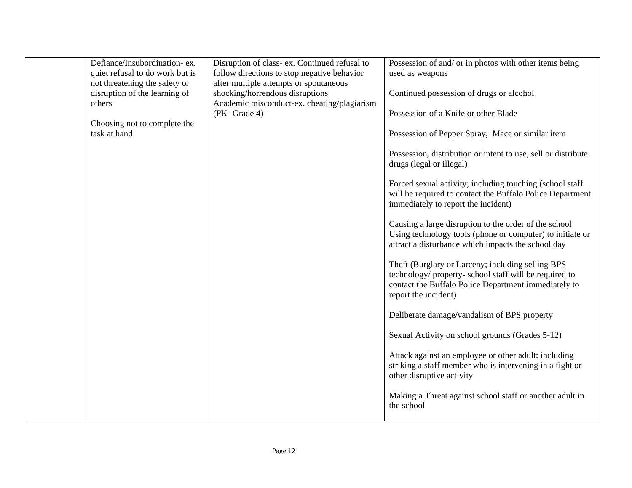| Defiance/Insubordination-ex.<br>quiet refusal to do work but is<br>not threatening the safety or<br>disruption of the learning of | Disruption of class-ex. Continued refusal to<br>follow directions to stop negative behavior<br>after multiple attempts or spontaneous<br>shocking/horrendous disruptions | Possession of and/ or in photos with other items being<br>used as weapons<br>Continued possession of drugs or alcohol                                                                       |
|-----------------------------------------------------------------------------------------------------------------------------------|--------------------------------------------------------------------------------------------------------------------------------------------------------------------------|---------------------------------------------------------------------------------------------------------------------------------------------------------------------------------------------|
| others<br>Choosing not to complete the                                                                                            | Academic misconduct-ex. cheating/plagiarism<br>(PK-Grade 4)                                                                                                              | Possession of a Knife or other Blade                                                                                                                                                        |
| task at hand                                                                                                                      |                                                                                                                                                                          | Possession of Pepper Spray, Mace or similar item<br>Possession, distribution or intent to use, sell or distribute                                                                           |
|                                                                                                                                   |                                                                                                                                                                          | drugs (legal or illegal)<br>Forced sexual activity; including touching (school staff<br>will be required to contact the Buffalo Police Department<br>immediately to report the incident)    |
|                                                                                                                                   |                                                                                                                                                                          | Causing a large disruption to the order of the school<br>Using technology tools (phone or computer) to initiate or<br>attract a disturbance which impacts the school day                    |
|                                                                                                                                   |                                                                                                                                                                          | Theft (Burglary or Larceny; including selling BPS<br>technology/ property- school staff will be required to<br>contact the Buffalo Police Department immediately to<br>report the incident) |
|                                                                                                                                   |                                                                                                                                                                          | Deliberate damage/vandalism of BPS property                                                                                                                                                 |
|                                                                                                                                   |                                                                                                                                                                          | Sexual Activity on school grounds (Grades 5-12)                                                                                                                                             |
|                                                                                                                                   |                                                                                                                                                                          | Attack against an employee or other adult; including<br>striking a staff member who is intervening in a fight or<br>other disruptive activity                                               |
|                                                                                                                                   |                                                                                                                                                                          | Making a Threat against school staff or another adult in<br>the school                                                                                                                      |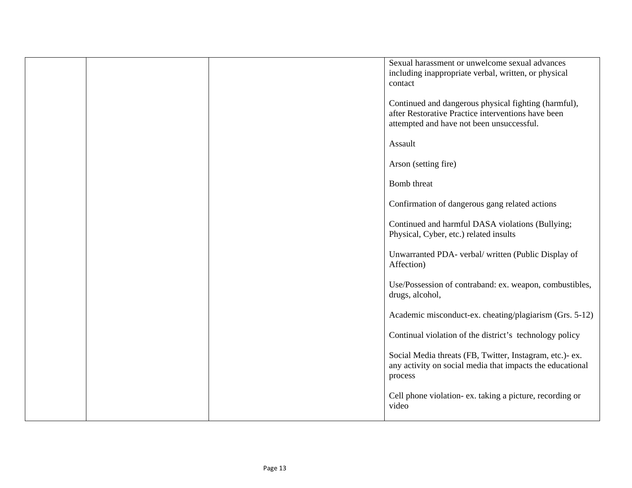| Sexual harassment or unwelcome sexual advances<br>including inappropriate verbal, written, or physical<br>contact                                       |
|---------------------------------------------------------------------------------------------------------------------------------------------------------|
| Continued and dangerous physical fighting (harmful),<br>after Restorative Practice interventions have been<br>attempted and have not been unsuccessful. |
| Assault                                                                                                                                                 |
| Arson (setting fire)                                                                                                                                    |
| Bomb threat                                                                                                                                             |
| Confirmation of dangerous gang related actions                                                                                                          |
| Continued and harmful DASA violations (Bullying;<br>Physical, Cyber, etc.) related insults                                                              |
| Unwarranted PDA- verbal/ written (Public Display of<br>Affection)                                                                                       |
| Use/Possession of contraband: ex. weapon, combustibles,<br>drugs, alcohol,                                                                              |
| Academic misconduct-ex. cheating/plagiarism (Grs. 5-12)                                                                                                 |
| Continual violation of the district's technology policy                                                                                                 |
| Social Media threats (FB, Twitter, Instagram, etc.)-ex.<br>any activity on social media that impacts the educational<br>process                         |
| Cell phone violation- ex. taking a picture, recording or<br>video                                                                                       |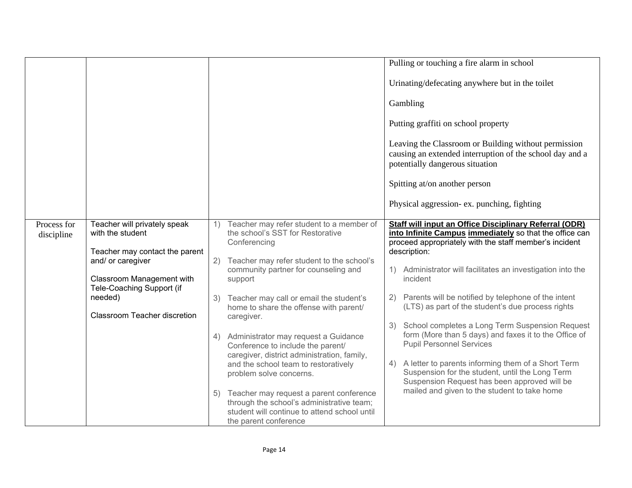|             |                                                        |    |                                                                                                                                                                  |    | Pulling or touching a fire alarm in school                                                                                                               |
|-------------|--------------------------------------------------------|----|------------------------------------------------------------------------------------------------------------------------------------------------------------------|----|----------------------------------------------------------------------------------------------------------------------------------------------------------|
|             |                                                        |    |                                                                                                                                                                  |    | Urinating/defecating anywhere but in the toilet                                                                                                          |
|             |                                                        |    |                                                                                                                                                                  |    | Gambling                                                                                                                                                 |
|             |                                                        |    |                                                                                                                                                                  |    | Putting graffiti on school property                                                                                                                      |
|             |                                                        |    |                                                                                                                                                                  |    | Leaving the Classroom or Building without permission<br>causing an extended interruption of the school day and a<br>potentially dangerous situation      |
|             |                                                        |    |                                                                                                                                                                  |    | Spitting at/on another person                                                                                                                            |
|             |                                                        |    |                                                                                                                                                                  |    | Physical aggression- ex. punching, fighting                                                                                                              |
| Process for | Teacher will privately speak                           | 1) | Teacher may refer student to a member of                                                                                                                         |    | Staff will input an Office Disciplinary Referral (ODR)                                                                                                   |
| discipline  | with the student                                       |    | the school's SST for Restorative                                                                                                                                 |    | into Infinite Campus immediately so that the office can                                                                                                  |
|             | Teacher may contact the parent                         |    | Conferencing                                                                                                                                                     |    | proceed appropriately with the staff member's incident<br>description:                                                                                   |
|             | and/ or caregiver                                      | 2) | Teacher may refer student to the school's                                                                                                                        |    |                                                                                                                                                          |
|             |                                                        |    | community partner for counseling and                                                                                                                             |    | 1) Administrator will facilitates an investigation into the                                                                                              |
|             | Classroom Management with<br>Tele-Coaching Support (if |    | support                                                                                                                                                          |    | incident                                                                                                                                                 |
|             | needed)                                                |    | 3) Teacher may call or email the student's                                                                                                                       |    | 2) Parents will be notified by telephone of the intent                                                                                                   |
|             |                                                        |    | home to share the offense with parent/                                                                                                                           |    | (LTS) as part of the student's due process rights                                                                                                        |
|             | Classroom Teacher discretion                           |    | caregiver.                                                                                                                                                       | 3) | School completes a Long Term Suspension Request                                                                                                          |
|             |                                                        |    | 4) Administrator may request a Guidance<br>Conference to include the parent/<br>caregiver, district administration, family,                                      |    | form (More than 5 days) and faxes it to the Office of<br><b>Pupil Personnel Services</b>                                                                 |
|             |                                                        |    | and the school team to restoratively<br>problem solve concerns.                                                                                                  |    | 4) A letter to parents informing them of a Short Term<br>Suspension for the student, until the Long Term<br>Suspension Request has been approved will be |
|             |                                                        |    | 5) Teacher may request a parent conference<br>through the school's administrative team;<br>student will continue to attend school until<br>the parent conference |    | mailed and given to the student to take home                                                                                                             |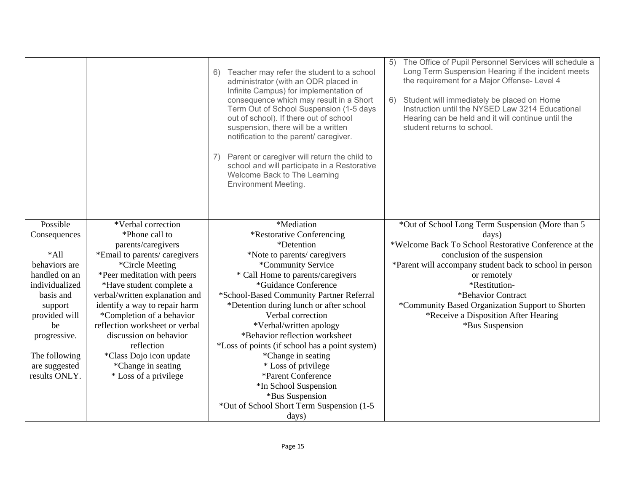|                          |                                      | Teacher may refer the student to a school<br>6)<br>administrator (with an ODR placed in<br>Infinite Campus) for implementation of<br>consequence which may result in a Short<br>Term Out of School Suspension (1-5 days<br>out of school). If there out of school<br>suspension, there will be a written<br>notification to the parent/ caregiver.<br>Parent or caregiver will return the child to<br>school and will participate in a Restorative<br>Welcome Back to The Learning<br><b>Environment Meeting.</b> | The Office of Pupil Personnel Services will schedule a<br>5)<br>Long Term Suspension Hearing if the incident meets<br>the requirement for a Major Offense- Level 4<br>Student will immediately be placed on Home<br>6)<br>Instruction until the NYSED Law 3214 Educational<br>Hearing can be held and it will continue until the<br>student returns to school. |
|--------------------------|--------------------------------------|-------------------------------------------------------------------------------------------------------------------------------------------------------------------------------------------------------------------------------------------------------------------------------------------------------------------------------------------------------------------------------------------------------------------------------------------------------------------------------------------------------------------|----------------------------------------------------------------------------------------------------------------------------------------------------------------------------------------------------------------------------------------------------------------------------------------------------------------------------------------------------------------|
| Possible<br>Consequences | *Verbal correction<br>*Phone call to | *Mediation<br>*Restorative Conferencing                                                                                                                                                                                                                                                                                                                                                                                                                                                                           | *Out of School Long Term Suspension (More than 5<br>days)                                                                                                                                                                                                                                                                                                      |
|                          | parents/caregivers                   | *Detention                                                                                                                                                                                                                                                                                                                                                                                                                                                                                                        | *Welcome Back To School Restorative Conference at the                                                                                                                                                                                                                                                                                                          |
| $*$ All                  | *Email to parents/ caregivers        | *Note to parents/ caregivers                                                                                                                                                                                                                                                                                                                                                                                                                                                                                      | conclusion of the suspension                                                                                                                                                                                                                                                                                                                                   |
| behaviors are            | *Circle Meeting                      | *Community Service                                                                                                                                                                                                                                                                                                                                                                                                                                                                                                | *Parent will accompany student back to school in person                                                                                                                                                                                                                                                                                                        |
| handled on an            | *Peer meditation with peers          | * Call Home to parents/caregivers                                                                                                                                                                                                                                                                                                                                                                                                                                                                                 | or remotely                                                                                                                                                                                                                                                                                                                                                    |
| individualized           | *Have student complete a             | *Guidance Conference                                                                                                                                                                                                                                                                                                                                                                                                                                                                                              | *Restitution-                                                                                                                                                                                                                                                                                                                                                  |
| basis and                | verbal/written explanation and       | *School-Based Community Partner Referral                                                                                                                                                                                                                                                                                                                                                                                                                                                                          | *Behavior Contract                                                                                                                                                                                                                                                                                                                                             |
| support                  | identify a way to repair harm        | *Detention during lunch or after school                                                                                                                                                                                                                                                                                                                                                                                                                                                                           | *Community Based Organization Support to Shorten                                                                                                                                                                                                                                                                                                               |
| provided will            | *Completion of a behavior            | Verbal correction                                                                                                                                                                                                                                                                                                                                                                                                                                                                                                 | *Receive a Disposition After Hearing                                                                                                                                                                                                                                                                                                                           |
| be                       | reflection worksheet or verbal       | *Verbal/written apology                                                                                                                                                                                                                                                                                                                                                                                                                                                                                           | *Bus Suspension                                                                                                                                                                                                                                                                                                                                                |
| progressive.             | discussion on behavior               | *Behavior reflection worksheet                                                                                                                                                                                                                                                                                                                                                                                                                                                                                    |                                                                                                                                                                                                                                                                                                                                                                |
|                          | reflection                           | *Loss of points (if school has a point system)                                                                                                                                                                                                                                                                                                                                                                                                                                                                    |                                                                                                                                                                                                                                                                                                                                                                |
| The following            | *Class Dojo icon update              | *Change in seating                                                                                                                                                                                                                                                                                                                                                                                                                                                                                                |                                                                                                                                                                                                                                                                                                                                                                |
| are suggested            | *Change in seating                   | * Loss of privilege                                                                                                                                                                                                                                                                                                                                                                                                                                                                                               |                                                                                                                                                                                                                                                                                                                                                                |
| results ONLY.            | * Loss of a privilege                | *Parent Conference                                                                                                                                                                                                                                                                                                                                                                                                                                                                                                |                                                                                                                                                                                                                                                                                                                                                                |
|                          |                                      | *In School Suspension                                                                                                                                                                                                                                                                                                                                                                                                                                                                                             |                                                                                                                                                                                                                                                                                                                                                                |
|                          |                                      | *Bus Suspension                                                                                                                                                                                                                                                                                                                                                                                                                                                                                                   |                                                                                                                                                                                                                                                                                                                                                                |
|                          |                                      | *Out of School Short Term Suspension (1-5                                                                                                                                                                                                                                                                                                                                                                                                                                                                         |                                                                                                                                                                                                                                                                                                                                                                |
|                          |                                      | days)                                                                                                                                                                                                                                                                                                                                                                                                                                                                                                             |                                                                                                                                                                                                                                                                                                                                                                |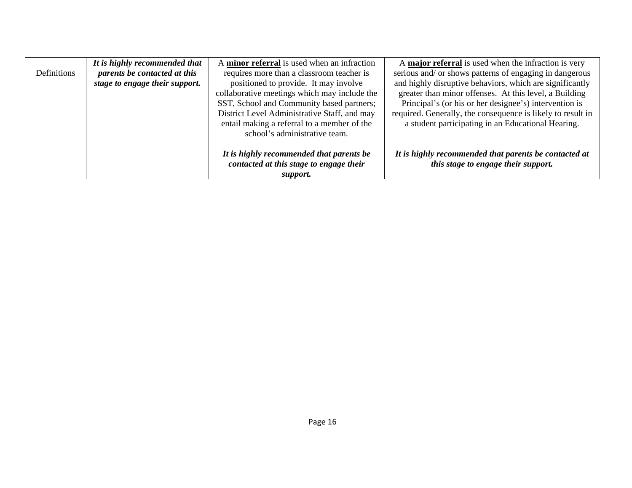|             | It is highly recommended that  | A minor referral is used when an infraction  | A major referral is used when the infraction is very        |
|-------------|--------------------------------|----------------------------------------------|-------------------------------------------------------------|
| Definitions | parents be contacted at this   | requires more than a classroom teacher is    | serious and/ or shows patterns of engaging in dangerous     |
|             | stage to engage their support. | positioned to provide. It may involve        | and highly disruptive behaviors, which are significantly    |
|             |                                | collaborative meetings which may include the | greater than minor offenses. At this level, a Building      |
|             |                                | SST, School and Community based partners;    | Principal's (or his or her designee's) intervention is      |
|             |                                | District Level Administrative Staff, and may | required. Generally, the consequence is likely to result in |
|             |                                | entail making a referral to a member of the  | a student participating in an Educational Hearing.          |
|             |                                | school's administrative team.                |                                                             |
|             |                                |                                              |                                                             |
|             |                                | It is highly recommended that parents be     | It is highly recommended that parents be contacted at       |
|             |                                | contacted at this stage to engage their      | this stage to engage their support.                         |
|             |                                | support.                                     |                                                             |